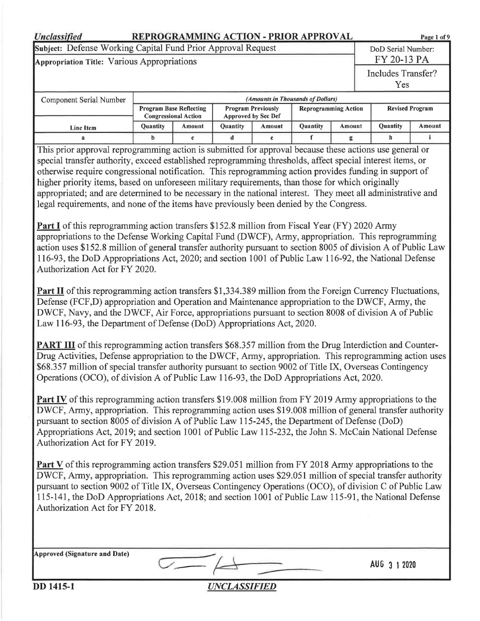| <b>Unclassified</b>                                                                                                                                                                                                                                                                                                                                                                                                                                                                                                                                                                                                                                                                                                                                                                                                                                                                                                                                                                                                                                                                                                                                                                                                                                                                                                                                                                                                                                                                                                                                                                                                                                                                                                                                                                                                                                                                                                                                                                                                                                                                                                                                                                                                                                                                                                                                                                                                                                                                                                                                                                                                                                                                                                                                                                                                                                                                                                                                                                                  | REPROGRAMMING ACTION - PRIOR APPROVAL<br>Page 1 of 9 |                                                 |                     |                                                                |                             |  |  |                           |        |
|------------------------------------------------------------------------------------------------------------------------------------------------------------------------------------------------------------------------------------------------------------------------------------------------------------------------------------------------------------------------------------------------------------------------------------------------------------------------------------------------------------------------------------------------------------------------------------------------------------------------------------------------------------------------------------------------------------------------------------------------------------------------------------------------------------------------------------------------------------------------------------------------------------------------------------------------------------------------------------------------------------------------------------------------------------------------------------------------------------------------------------------------------------------------------------------------------------------------------------------------------------------------------------------------------------------------------------------------------------------------------------------------------------------------------------------------------------------------------------------------------------------------------------------------------------------------------------------------------------------------------------------------------------------------------------------------------------------------------------------------------------------------------------------------------------------------------------------------------------------------------------------------------------------------------------------------------------------------------------------------------------------------------------------------------------------------------------------------------------------------------------------------------------------------------------------------------------------------------------------------------------------------------------------------------------------------------------------------------------------------------------------------------------------------------------------------------------------------------------------------------------------------------------------------------------------------------------------------------------------------------------------------------------------------------------------------------------------------------------------------------------------------------------------------------------------------------------------------------------------------------------------------------------------------------------------------------------------------------------------------------|------------------------------------------------------|-------------------------------------------------|---------------------|----------------------------------------------------------------|-----------------------------|--|--|---------------------------|--------|
| Subject: Defense Working Capital Fund Prior Approval Request                                                                                                                                                                                                                                                                                                                                                                                                                                                                                                                                                                                                                                                                                                                                                                                                                                                                                                                                                                                                                                                                                                                                                                                                                                                                                                                                                                                                                                                                                                                                                                                                                                                                                                                                                                                                                                                                                                                                                                                                                                                                                                                                                                                                                                                                                                                                                                                                                                                                                                                                                                                                                                                                                                                                                                                                                                                                                                                                         |                                                      |                                                 |                     |                                                                |                             |  |  | DoD Serial Number:        |        |
| Appropriation Title: Various Appropriations                                                                                                                                                                                                                                                                                                                                                                                                                                                                                                                                                                                                                                                                                                                                                                                                                                                                                                                                                                                                                                                                                                                                                                                                                                                                                                                                                                                                                                                                                                                                                                                                                                                                                                                                                                                                                                                                                                                                                                                                                                                                                                                                                                                                                                                                                                                                                                                                                                                                                                                                                                                                                                                                                                                                                                                                                                                                                                                                                          |                                                      |                                                 |                     |                                                                |                             |  |  | FY 20-13 PA               |        |
|                                                                                                                                                                                                                                                                                                                                                                                                                                                                                                                                                                                                                                                                                                                                                                                                                                                                                                                                                                                                                                                                                                                                                                                                                                                                                                                                                                                                                                                                                                                                                                                                                                                                                                                                                                                                                                                                                                                                                                                                                                                                                                                                                                                                                                                                                                                                                                                                                                                                                                                                                                                                                                                                                                                                                                                                                                                                                                                                                                                                      |                                                      |                                                 |                     |                                                                |                             |  |  | Includes Transfer?<br>Yes |        |
|                                                                                                                                                                                                                                                                                                                                                                                                                                                                                                                                                                                                                                                                                                                                                                                                                                                                                                                                                                                                                                                                                                                                                                                                                                                                                                                                                                                                                                                                                                                                                                                                                                                                                                                                                                                                                                                                                                                                                                                                                                                                                                                                                                                                                                                                                                                                                                                                                                                                                                                                                                                                                                                                                                                                                                                                                                                                                                                                                                                                      |                                                      |                                                 |                     |                                                                |                             |  |  |                           |        |
| Component Serial Number                                                                                                                                                                                                                                                                                                                                                                                                                                                                                                                                                                                                                                                                                                                                                                                                                                                                                                                                                                                                                                                                                                                                                                                                                                                                                                                                                                                                                                                                                                                                                                                                                                                                                                                                                                                                                                                                                                                                                                                                                                                                                                                                                                                                                                                                                                                                                                                                                                                                                                                                                                                                                                                                                                                                                                                                                                                                                                                                                                              |                                                      | <b>Program Base Reflecting</b>                  |                     | (Amounts in Thousands of Dollars)<br><b>Program Previously</b> | <b>Reprogramming Action</b> |  |  | <b>Revised Program</b>    |        |
|                                                                                                                                                                                                                                                                                                                                                                                                                                                                                                                                                                                                                                                                                                                                                                                                                                                                                                                                                                                                                                                                                                                                                                                                                                                                                                                                                                                                                                                                                                                                                                                                                                                                                                                                                                                                                                                                                                                                                                                                                                                                                                                                                                                                                                                                                                                                                                                                                                                                                                                                                                                                                                                                                                                                                                                                                                                                                                                                                                                                      |                                                      | <b>Congressional Action</b>                     |                     | <b>Approved by Sec Def</b>                                     |                             |  |  |                           |        |
| <b>Line Item</b>                                                                                                                                                                                                                                                                                                                                                                                                                                                                                                                                                                                                                                                                                                                                                                                                                                                                                                                                                                                                                                                                                                                                                                                                                                                                                                                                                                                                                                                                                                                                                                                                                                                                                                                                                                                                                                                                                                                                                                                                                                                                                                                                                                                                                                                                                                                                                                                                                                                                                                                                                                                                                                                                                                                                                                                                                                                                                                                                                                                     | Quantity                                             | Quantity<br><b>Quantity</b><br>Amount<br>Amount |                     |                                                                |                             |  |  | Quantity                  | Amount |
| Amount<br>i.<br>f<br>b<br>d<br>h<br>e<br>$\mathbf c$<br>g<br>This prior approval reprogramming action is submitted for approval because these actions use general or<br>special transfer authority, exceed established reprogramming thresholds, affect special interest items, or<br>otherwise require congressional notification. This reprogramming action provides funding in support of<br>higher priority items, based on unforeseen military requirements, than those for which originally<br>appropriated; and are determined to be necessary in the national interest. They meet all administrative and<br>legal requirements, and none of the items have previously been denied by the Congress.<br><b>Part I</b> of this reprogramming action transfers \$152.8 million from Fiscal Year (FY) 2020 Army<br>appropriations to the Defense Working Capital Fund (DWCF), Army, appropriation. This reprogramming<br>action uses \$152.8 million of general transfer authority pursuant to section 8005 of division A of Public Law<br>116-93, the DoD Appropriations Act, 2020; and section 1001 of Public Law 116-92, the National Defense<br>Authorization Act for FY 2020.<br><b>Part II</b> of this reprogramming action transfers \$1,334.389 million from the Foreign Currency Fluctuations,<br>Defense (FCF,D) appropriation and Operation and Maintenance appropriation to the DWCF, Army, the<br>DWCF, Navy, and the DWCF, Air Force, appropriations pursuant to section 8008 of division A of Public<br>Law 116-93, the Department of Defense (DoD) Appropriations Act, 2020.<br><b>PART III</b> of this reprogramming action transfers \$68.357 million from the Drug Interdiction and Counter-<br>Drug Activities, Defense appropriation to the DWCF, Army, appropriation. This reprogramming action uses<br>\$68.357 million of special transfer authority pursuant to section 9002 of Title IX, Overseas Contingency<br>Operations (OCO), of division A of Public Law 116-93, the DoD Appropriations Act, 2020.<br><b>Part IV</b> of this reprogramming action transfers \$19.008 million from FY 2019 Army appropriations to the<br>DWCF, Army, appropriation. This reprogramming action uses \$19.008 million of general transfer authority<br>pursuant to section 8005 of division A of Public Law 115-245, the Department of Defense (DoD)<br>Appropriations Act, 2019; and section 1001 of Public Law 115-232, the John S. McCain National Defense<br>Authorization Act for FY 2019.<br><b>Part V</b> of this reprogramming action transfers \$29.051 million from FY 2018 Army appropriations to the<br>DWCF, Army, appropriation. This reprogramming action uses \$29.051 million of special transfer authority<br>pursuant to section 9002 of Title IX, Overseas Contingency Operations (OCO), of division C of Public Law<br>115-141, the DoD Appropriations Act, 2018; and section 1001 of Public Law 115-91, the National Defense<br>Authorization Act for FY 2018. |                                                      |                                                 |                     |                                                                |                             |  |  |                           |        |
| Approved (Signature and Date)<br>AUG 3 1 2020                                                                                                                                                                                                                                                                                                                                                                                                                                                                                                                                                                                                                                                                                                                                                                                                                                                                                                                                                                                                                                                                                                                                                                                                                                                                                                                                                                                                                                                                                                                                                                                                                                                                                                                                                                                                                                                                                                                                                                                                                                                                                                                                                                                                                                                                                                                                                                                                                                                                                                                                                                                                                                                                                                                                                                                                                                                                                                                                                        |                                                      |                                                 |                     |                                                                |                             |  |  |                           |        |
| <b>DD</b> 1415-1                                                                                                                                                                                                                                                                                                                                                                                                                                                                                                                                                                                                                                                                                                                                                                                                                                                                                                                                                                                                                                                                                                                                                                                                                                                                                                                                                                                                                                                                                                                                                                                                                                                                                                                                                                                                                                                                                                                                                                                                                                                                                                                                                                                                                                                                                                                                                                                                                                                                                                                                                                                                                                                                                                                                                                                                                                                                                                                                                                                     |                                                      |                                                 | <b>UNCLASSIFIED</b> |                                                                |                             |  |  |                           |        |
|                                                                                                                                                                                                                                                                                                                                                                                                                                                                                                                                                                                                                                                                                                                                                                                                                                                                                                                                                                                                                                                                                                                                                                                                                                                                                                                                                                                                                                                                                                                                                                                                                                                                                                                                                                                                                                                                                                                                                                                                                                                                                                                                                                                                                                                                                                                                                                                                                                                                                                                                                                                                                                                                                                                                                                                                                                                                                                                                                                                                      |                                                      |                                                 |                     |                                                                |                             |  |  |                           |        |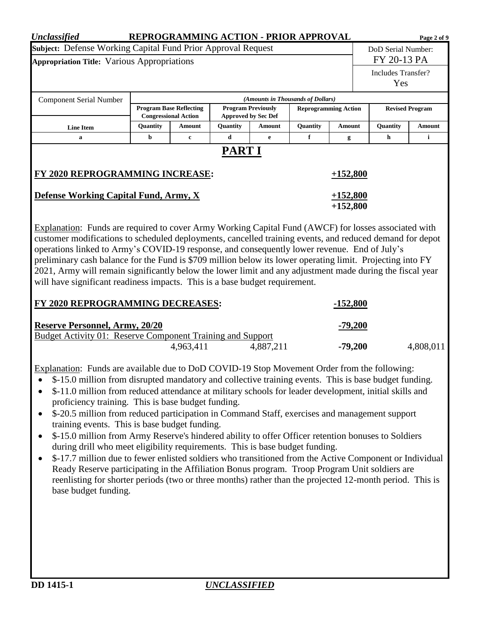| <b>Unclassified</b>                                                                                                                                                                                                                                                                                                                                                                                                                                                                                                                                                                                                                                                                                                                                                                                                                                                                                                                                                                                                                                            |          | REPROGRAMMING ACTION - PRIOR APPROVAL                         |               |                                                         |                                   |                             |                           | Page 2 of 9            |  |
|----------------------------------------------------------------------------------------------------------------------------------------------------------------------------------------------------------------------------------------------------------------------------------------------------------------------------------------------------------------------------------------------------------------------------------------------------------------------------------------------------------------------------------------------------------------------------------------------------------------------------------------------------------------------------------------------------------------------------------------------------------------------------------------------------------------------------------------------------------------------------------------------------------------------------------------------------------------------------------------------------------------------------------------------------------------|----------|---------------------------------------------------------------|---------------|---------------------------------------------------------|-----------------------------------|-----------------------------|---------------------------|------------------------|--|
| Subject: Defense Working Capital Fund Prior Approval Request                                                                                                                                                                                                                                                                                                                                                                                                                                                                                                                                                                                                                                                                                                                                                                                                                                                                                                                                                                                                   |          |                                                               |               |                                                         |                                   |                             | DoD Serial Number:        |                        |  |
| <b>Appropriation Title: Various Appropriations</b>                                                                                                                                                                                                                                                                                                                                                                                                                                                                                                                                                                                                                                                                                                                                                                                                                                                                                                                                                                                                             |          |                                                               |               |                                                         |                                   |                             | FY 20-13 PA               |                        |  |
|                                                                                                                                                                                                                                                                                                                                                                                                                                                                                                                                                                                                                                                                                                                                                                                                                                                                                                                                                                                                                                                                |          |                                                               |               |                                                         |                                   |                             | Includes Transfer?<br>Yes |                        |  |
| <b>Component Serial Number</b>                                                                                                                                                                                                                                                                                                                                                                                                                                                                                                                                                                                                                                                                                                                                                                                                                                                                                                                                                                                                                                 |          |                                                               |               |                                                         | (Amounts in Thousands of Dollars) |                             |                           |                        |  |
|                                                                                                                                                                                                                                                                                                                                                                                                                                                                                                                                                                                                                                                                                                                                                                                                                                                                                                                                                                                                                                                                |          | <b>Program Base Reflecting</b><br><b>Congressional Action</b> |               | <b>Program Previously</b><br><b>Approved by Sec Def</b> |                                   | <b>Reprogramming Action</b> |                           | <b>Revised Program</b> |  |
| <b>Line Item</b>                                                                                                                                                                                                                                                                                                                                                                                                                                                                                                                                                                                                                                                                                                                                                                                                                                                                                                                                                                                                                                               | Quantity | Amount                                                        | Quantity      | Quantity<br>Amount<br><b>Amount</b>                     |                                   |                             | Quantity                  | Amount                 |  |
| a                                                                                                                                                                                                                                                                                                                                                                                                                                                                                                                                                                                                                                                                                                                                                                                                                                                                                                                                                                                                                                                              | b        | $\mathbf c$                                                   | d             | $\mathbf e$                                             | $\mathbf f$                       | g                           | h                         | i                      |  |
| FY 2020 REPROGRAMMING INCREASE:                                                                                                                                                                                                                                                                                                                                                                                                                                                                                                                                                                                                                                                                                                                                                                                                                                                                                                                                                                                                                                |          |                                                               | <b>PART I</b> |                                                         |                                   | $+152,800$                  |                           |                        |  |
| <b>Defense Working Capital Fund, Army, X</b>                                                                                                                                                                                                                                                                                                                                                                                                                                                                                                                                                                                                                                                                                                                                                                                                                                                                                                                                                                                                                   |          |                                                               |               |                                                         |                                   | $+152,800$<br>$+152,800$    |                           |                        |  |
| operations linked to Army's COVID-19 response, and consequently lower revenue. End of July's<br>preliminary cash balance for the Fund is \$709 million below its lower operating limit. Projecting into FY<br>2021, Army will remain significantly below the lower limit and any adjustment made during the fiscal year<br>will have significant readiness impacts. This is a base budget requirement.<br>FY 2020 REPROGRAMMING DECREASES:                                                                                                                                                                                                                                                                                                                                                                                                                                                                                                                                                                                                                     |          |                                                               |               |                                                         |                                   | <u>-152,800</u>             |                           |                        |  |
| <b>Reserve Personnel, Army, 20/20</b><br><b>Budget Activity 01: Reserve Component Training and Support</b>                                                                                                                                                                                                                                                                                                                                                                                                                                                                                                                                                                                                                                                                                                                                                                                                                                                                                                                                                     |          |                                                               |               | <u>-79,200</u>                                          |                                   |                             |                           |                        |  |
|                                                                                                                                                                                                                                                                                                                                                                                                                                                                                                                                                                                                                                                                                                                                                                                                                                                                                                                                                                                                                                                                |          | 4,963,411                                                     |               | 4,887,211                                               |                                   | $-79,200$                   |                           | 4,808,011              |  |
| Explanation: Funds are available due to DoD COVID-19 Stop Movement Order from the following:<br>\$-15.0 million from disrupted mandatory and collective training events. This is base budget funding.<br>\$-11.0 million from reduced attendance at military schools for leader development, initial skills and<br>proficiency training. This is base budget funding.<br>\$-20.5 million from reduced participation in Command Staff, exercises and management support<br>training events. This is base budget funding.<br>\$-15.0 million from Army Reserve's hindered ability to offer Officer retention bonuses to Soldiers<br>during drill who meet eligibility requirements. This is base budget funding.<br>\$-17.7 million due to fewer enlisted soldiers who transitioned from the Active Component or Individual<br>Ready Reserve participating in the Affiliation Bonus program. Troop Program Unit soldiers are<br>reenlisting for shorter periods (two or three months) rather than the projected 12-month period. This is<br>base budget funding. |          |                                                               |               |                                                         |                                   |                             |                           |                        |  |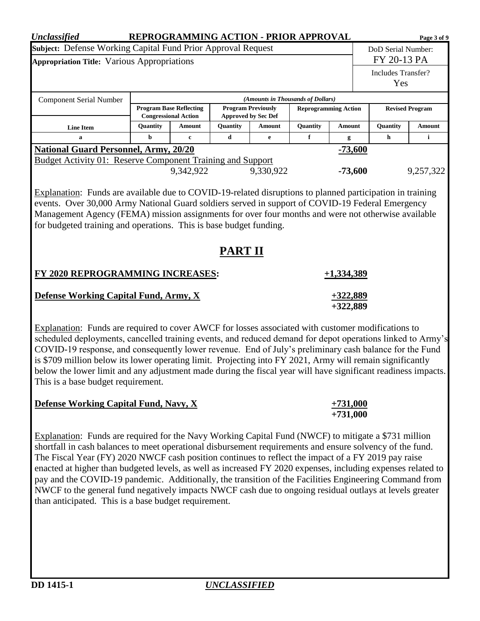| <b>Unclassified</b>                                                                                                                                                                                                                                                                                                                                                                                                                     |                                                           |                                                               |                |                                                         | REPROGRAMMING ACTION - PRIOR APPROVAL |                             |                    |                        | Page 3 of 9 |  |
|-----------------------------------------------------------------------------------------------------------------------------------------------------------------------------------------------------------------------------------------------------------------------------------------------------------------------------------------------------------------------------------------------------------------------------------------|-----------------------------------------------------------|---------------------------------------------------------------|----------------|---------------------------------------------------------|---------------------------------------|-----------------------------|--------------------|------------------------|-------------|--|
| Subject: Defense Working Capital Fund Prior Approval Request                                                                                                                                                                                                                                                                                                                                                                            |                                                           |                                                               |                |                                                         |                                       |                             | DoD Serial Number: |                        |             |  |
| <b>Appropriation Title: Various Appropriations</b>                                                                                                                                                                                                                                                                                                                                                                                      |                                                           |                                                               |                |                                                         |                                       |                             | FY 20-13 PA        |                        |             |  |
|                                                                                                                                                                                                                                                                                                                                                                                                                                         |                                                           |                                                               |                |                                                         |                                       |                             | Includes Transfer? |                        |             |  |
|                                                                                                                                                                                                                                                                                                                                                                                                                                         |                                                           |                                                               |                |                                                         |                                       |                             |                    | Yes                    |             |  |
| <b>Component Serial Number</b>                                                                                                                                                                                                                                                                                                                                                                                                          |                                                           |                                                               |                |                                                         | (Amounts in Thousands of Dollars)     |                             |                    |                        |             |  |
|                                                                                                                                                                                                                                                                                                                                                                                                                                         |                                                           | <b>Program Base Reflecting</b><br><b>Congressional Action</b> |                | <b>Program Previously</b><br><b>Approved by Sec Def</b> |                                       | <b>Reprogramming Action</b> |                    | <b>Revised Program</b> |             |  |
| <b>Line Item</b>                                                                                                                                                                                                                                                                                                                                                                                                                        | Quantity                                                  | Amount                                                        | Quantity       | Amount                                                  | Quantity                              | Amount                      |                    | Quantity               | Amount      |  |
| a                                                                                                                                                                                                                                                                                                                                                                                                                                       | b                                                         | $\mathbf{c}$                                                  | $\mathbf d$    | e                                                       | f                                     | g                           |                    | h                      | i           |  |
|                                                                                                                                                                                                                                                                                                                                                                                                                                         | <b>National Guard Personnel, Army, 20/20</b><br>$-73,600$ |                                                               |                |                                                         |                                       |                             |                    |                        |             |  |
| <b>Budget Activity 01: Reserve Component Training and Support</b>                                                                                                                                                                                                                                                                                                                                                                       |                                                           |                                                               |                |                                                         |                                       |                             |                    |                        |             |  |
|                                                                                                                                                                                                                                                                                                                                                                                                                                         |                                                           | 9,342,922                                                     |                | 9,330,922                                               |                                       | $-73,600$                   |                    |                        | 9,257,322   |  |
| Management Agency (FEMA) mission assignments for over four months and were not otherwise available<br>for budgeted training and operations. This is base budget funding.                                                                                                                                                                                                                                                                |                                                           |                                                               | <b>PART II</b> |                                                         |                                       |                             |                    |                        |             |  |
| FY 2020 REPROGRAMMING INCREASES:                                                                                                                                                                                                                                                                                                                                                                                                        |                                                           |                                                               |                |                                                         |                                       | $+1,334,389$                |                    |                        |             |  |
| <b>Defense Working Capital Fund, Army, X</b>                                                                                                                                                                                                                                                                                                                                                                                            |                                                           |                                                               |                | $+322,889$<br>$+322,889$                                |                                       |                             |                    |                        |             |  |
| Explanation: Funds are required to cover AWCF for losses associated with customer modifications to<br>scheduled deployments, cancelled training events, and reduced demand for depot operations linked to Army's<br>COVID-19 response, and consequently lower revenue. End of July's preliminary cash balance for the Fund<br>is \$709 million below its lower operating limit. Projecting into FY 2021, Army will remain significantly |                                                           |                                                               |                |                                                         |                                       |                             |                    |                        |             |  |

| <b>Defense Working Capital Fund, Navy, X</b> | $+731,000$ |
|----------------------------------------------|------------|
|                                              | $+731,000$ |

Explanation: Funds are required for the Navy Working Capital Fund (NWCF) to mitigate a \$731 million shortfall in cash balances to meet operational disbursement requirements and ensure solvency of the fund. The Fiscal Year (FY) 2020 NWCF cash position continues to reflect the impact of a FY 2019 pay raise enacted at higher than budgeted levels, as well as increased FY 2020 expenses, including expenses related to pay and the COVID-19 pandemic. Additionally, the transition of the Facilities Engineering Command from NWCF to the general fund negatively impacts NWCF cash due to ongoing residual outlays at levels greater than anticipated. This is a base budget requirement.

below the lower limit and any adjustment made during the fiscal year will have significant readiness impacts.

This is a base budget requirement.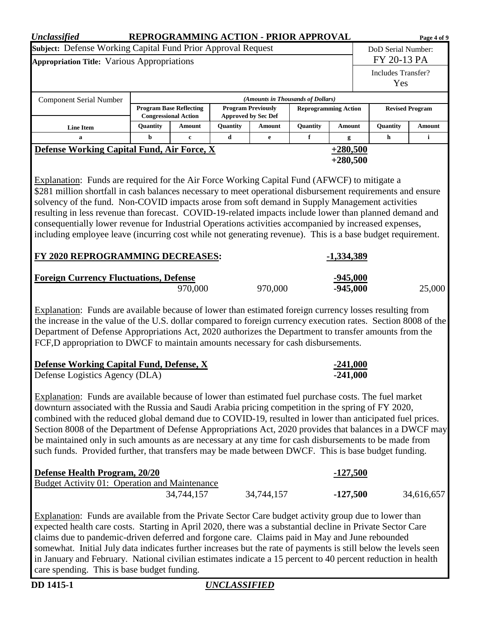| Subject: Defense Working Capital Fund Prior Approval Request<br>DoD Serial Number:<br>FY 20-13 PA<br>Appropriation Title: Various Appropriations<br>Includes Transfer?<br>Yes<br>(Amounts in Thousands of Dollars)<br><b>Component Serial Number</b><br><b>Program Base Reflecting</b><br><b>Program Previously</b><br><b>Revised Program</b><br><b>Reprogramming Action</b><br><b>Approved by Sec Def</b><br><b>Congressional Action</b><br><b>Ouantity</b><br>Quantity<br>Quantity<br>Quantity<br>Amount<br><b>Amount</b><br>Amount<br>Amount<br><b>Line Item</b><br>d<br>f<br>i<br>b<br>h<br>$\mathbf a$<br>$\mathbf c$<br>e<br>g<br>Defense Working Capital Fund, Air Force, X<br>$+280,500$<br>$+280,500$<br>Explanation: Funds are required for the Air Force Working Capital Fund (AFWCF) to mitigate a<br>\$281 million shortfall in cash balances necessary to meet operational disbursement requirements and ensure<br>solvency of the fund. Non-COVID impacts arose from soft demand in Supply Management activities<br>resulting in less revenue than forecast. COVID-19-related impacts include lower than planned demand and<br>consequentially lower revenue for Industrial Operations activities accompanied by increased expenses,<br>including employee leave (incurring cost while not generating revenue). This is a base budget requirement.<br>FY 2020 REPROGRAMMING DECREASES:<br><u>-1,334,389</u><br><b>Foreign Currency Fluctuations, Defense</b><br><u>-945,000</u><br>970,000<br>970,000<br>$-945,000$<br>25,000<br>Explanation: Funds are available because of lower than estimated foreign currency losses resulting from<br>the increase in the value of the U.S. dollar compared to foreign currency execution rates. Section 8008 of the<br>Department of Defense Appropriations Act, 2020 authorizes the Department to transfer amounts from the<br>FCF,D appropriation to DWCF to maintain amounts necessary for cash disbursements.<br><b>Defense Working Capital Fund, Defense, X</b><br><u>-241,000</u><br>Defense Logistics Agency (DLA)<br>-241,000<br>Explanation: Funds are available because of lower than estimated fuel purchase costs. The fuel market<br>downturn associated with the Russia and Saudi Arabia pricing competition in the spring of FY 2020,<br>combined with the reduced global demand due to COVID-19, resulted in lower than anticipated fuel prices.<br>Section 8008 of the Department of Defense Appropriations Act, 2020 provides that balances in a DWCF may<br>be maintained only in such amounts as are necessary at any time for cash disbursements to be made from<br>such funds. Provided further, that transfers may be made between DWCF. This is base budget funding.<br>Defense Health Program, 20/20<br><u>-127,500</u><br><b>Budget Activity 01: Operation and Maintenance</b><br>34,744,157<br>34,744,157<br>$-127,500$<br>34,616,657<br>Explanation: Funds are available from the Private Sector Care budget activity group due to lower than<br>expected health care costs. Starting in April 2020, there was a substantial decline in Private Sector Care | <b>Unclassified</b> |  |  | REPROGRAMMING ACTION - PRIOR APPROVAL |  |  |  |  | Page 4 of 9 |  |  |
|-----------------------------------------------------------------------------------------------------------------------------------------------------------------------------------------------------------------------------------------------------------------------------------------------------------------------------------------------------------------------------------------------------------------------------------------------------------------------------------------------------------------------------------------------------------------------------------------------------------------------------------------------------------------------------------------------------------------------------------------------------------------------------------------------------------------------------------------------------------------------------------------------------------------------------------------------------------------------------------------------------------------------------------------------------------------------------------------------------------------------------------------------------------------------------------------------------------------------------------------------------------------------------------------------------------------------------------------------------------------------------------------------------------------------------------------------------------------------------------------------------------------------------------------------------------------------------------------------------------------------------------------------------------------------------------------------------------------------------------------------------------------------------------------------------------------------------------------------------------------------------------------------------------------------------------------------------------------------------------------------------------------------------------------------------------------------------------------------------------------------------------------------------------------------------------------------------------------------------------------------------------------------------------------------------------------------------------------------------------------------------------------------------------------------------------------------------------------------------------------------------------------------------------------------------------------------------------------------------------------------------------------------------------------------------------------------------------------------------------------------------------------------------------------------------------------------------------------------------------------------------------------------------------------------------------------------------------------------------------------------------------------------------------------------------------------------------------------------------------------------------------------------|---------------------|--|--|---------------------------------------|--|--|--|--|-------------|--|--|
|                                                                                                                                                                                                                                                                                                                                                                                                                                                                                                                                                                                                                                                                                                                                                                                                                                                                                                                                                                                                                                                                                                                                                                                                                                                                                                                                                                                                                                                                                                                                                                                                                                                                                                                                                                                                                                                                                                                                                                                                                                                                                                                                                                                                                                                                                                                                                                                                                                                                                                                                                                                                                                                                                                                                                                                                                                                                                                                                                                                                                                                                                                                                               |                     |  |  |                                       |  |  |  |  |             |  |  |
|                                                                                                                                                                                                                                                                                                                                                                                                                                                                                                                                                                                                                                                                                                                                                                                                                                                                                                                                                                                                                                                                                                                                                                                                                                                                                                                                                                                                                                                                                                                                                                                                                                                                                                                                                                                                                                                                                                                                                                                                                                                                                                                                                                                                                                                                                                                                                                                                                                                                                                                                                                                                                                                                                                                                                                                                                                                                                                                                                                                                                                                                                                                                               |                     |  |  |                                       |  |  |  |  |             |  |  |
|                                                                                                                                                                                                                                                                                                                                                                                                                                                                                                                                                                                                                                                                                                                                                                                                                                                                                                                                                                                                                                                                                                                                                                                                                                                                                                                                                                                                                                                                                                                                                                                                                                                                                                                                                                                                                                                                                                                                                                                                                                                                                                                                                                                                                                                                                                                                                                                                                                                                                                                                                                                                                                                                                                                                                                                                                                                                                                                                                                                                                                                                                                                                               |                     |  |  |                                       |  |  |  |  |             |  |  |
|                                                                                                                                                                                                                                                                                                                                                                                                                                                                                                                                                                                                                                                                                                                                                                                                                                                                                                                                                                                                                                                                                                                                                                                                                                                                                                                                                                                                                                                                                                                                                                                                                                                                                                                                                                                                                                                                                                                                                                                                                                                                                                                                                                                                                                                                                                                                                                                                                                                                                                                                                                                                                                                                                                                                                                                                                                                                                                                                                                                                                                                                                                                                               |                     |  |  |                                       |  |  |  |  |             |  |  |
|                                                                                                                                                                                                                                                                                                                                                                                                                                                                                                                                                                                                                                                                                                                                                                                                                                                                                                                                                                                                                                                                                                                                                                                                                                                                                                                                                                                                                                                                                                                                                                                                                                                                                                                                                                                                                                                                                                                                                                                                                                                                                                                                                                                                                                                                                                                                                                                                                                                                                                                                                                                                                                                                                                                                                                                                                                                                                                                                                                                                                                                                                                                                               |                     |  |  |                                       |  |  |  |  |             |  |  |
|                                                                                                                                                                                                                                                                                                                                                                                                                                                                                                                                                                                                                                                                                                                                                                                                                                                                                                                                                                                                                                                                                                                                                                                                                                                                                                                                                                                                                                                                                                                                                                                                                                                                                                                                                                                                                                                                                                                                                                                                                                                                                                                                                                                                                                                                                                                                                                                                                                                                                                                                                                                                                                                                                                                                                                                                                                                                                                                                                                                                                                                                                                                                               |                     |  |  |                                       |  |  |  |  |             |  |  |
|                                                                                                                                                                                                                                                                                                                                                                                                                                                                                                                                                                                                                                                                                                                                                                                                                                                                                                                                                                                                                                                                                                                                                                                                                                                                                                                                                                                                                                                                                                                                                                                                                                                                                                                                                                                                                                                                                                                                                                                                                                                                                                                                                                                                                                                                                                                                                                                                                                                                                                                                                                                                                                                                                                                                                                                                                                                                                                                                                                                                                                                                                                                                               |                     |  |  |                                       |  |  |  |  |             |  |  |
|                                                                                                                                                                                                                                                                                                                                                                                                                                                                                                                                                                                                                                                                                                                                                                                                                                                                                                                                                                                                                                                                                                                                                                                                                                                                                                                                                                                                                                                                                                                                                                                                                                                                                                                                                                                                                                                                                                                                                                                                                                                                                                                                                                                                                                                                                                                                                                                                                                                                                                                                                                                                                                                                                                                                                                                                                                                                                                                                                                                                                                                                                                                                               |                     |  |  |                                       |  |  |  |  |             |  |  |
|                                                                                                                                                                                                                                                                                                                                                                                                                                                                                                                                                                                                                                                                                                                                                                                                                                                                                                                                                                                                                                                                                                                                                                                                                                                                                                                                                                                                                                                                                                                                                                                                                                                                                                                                                                                                                                                                                                                                                                                                                                                                                                                                                                                                                                                                                                                                                                                                                                                                                                                                                                                                                                                                                                                                                                                                                                                                                                                                                                                                                                                                                                                                               |                     |  |  |                                       |  |  |  |  |             |  |  |
|                                                                                                                                                                                                                                                                                                                                                                                                                                                                                                                                                                                                                                                                                                                                                                                                                                                                                                                                                                                                                                                                                                                                                                                                                                                                                                                                                                                                                                                                                                                                                                                                                                                                                                                                                                                                                                                                                                                                                                                                                                                                                                                                                                                                                                                                                                                                                                                                                                                                                                                                                                                                                                                                                                                                                                                                                                                                                                                                                                                                                                                                                                                                               |                     |  |  |                                       |  |  |  |  |             |  |  |
|                                                                                                                                                                                                                                                                                                                                                                                                                                                                                                                                                                                                                                                                                                                                                                                                                                                                                                                                                                                                                                                                                                                                                                                                                                                                                                                                                                                                                                                                                                                                                                                                                                                                                                                                                                                                                                                                                                                                                                                                                                                                                                                                                                                                                                                                                                                                                                                                                                                                                                                                                                                                                                                                                                                                                                                                                                                                                                                                                                                                                                                                                                                                               |                     |  |  |                                       |  |  |  |  |             |  |  |
|                                                                                                                                                                                                                                                                                                                                                                                                                                                                                                                                                                                                                                                                                                                                                                                                                                                                                                                                                                                                                                                                                                                                                                                                                                                                                                                                                                                                                                                                                                                                                                                                                                                                                                                                                                                                                                                                                                                                                                                                                                                                                                                                                                                                                                                                                                                                                                                                                                                                                                                                                                                                                                                                                                                                                                                                                                                                                                                                                                                                                                                                                                                                               |                     |  |  |                                       |  |  |  |  |             |  |  |
|                                                                                                                                                                                                                                                                                                                                                                                                                                                                                                                                                                                                                                                                                                                                                                                                                                                                                                                                                                                                                                                                                                                                                                                                                                                                                                                                                                                                                                                                                                                                                                                                                                                                                                                                                                                                                                                                                                                                                                                                                                                                                                                                                                                                                                                                                                                                                                                                                                                                                                                                                                                                                                                                                                                                                                                                                                                                                                                                                                                                                                                                                                                                               |                     |  |  |                                       |  |  |  |  |             |  |  |
|                                                                                                                                                                                                                                                                                                                                                                                                                                                                                                                                                                                                                                                                                                                                                                                                                                                                                                                                                                                                                                                                                                                                                                                                                                                                                                                                                                                                                                                                                                                                                                                                                                                                                                                                                                                                                                                                                                                                                                                                                                                                                                                                                                                                                                                                                                                                                                                                                                                                                                                                                                                                                                                                                                                                                                                                                                                                                                                                                                                                                                                                                                                                               |                     |  |  |                                       |  |  |  |  |             |  |  |
|                                                                                                                                                                                                                                                                                                                                                                                                                                                                                                                                                                                                                                                                                                                                                                                                                                                                                                                                                                                                                                                                                                                                                                                                                                                                                                                                                                                                                                                                                                                                                                                                                                                                                                                                                                                                                                                                                                                                                                                                                                                                                                                                                                                                                                                                                                                                                                                                                                                                                                                                                                                                                                                                                                                                                                                                                                                                                                                                                                                                                                                                                                                                               |                     |  |  |                                       |  |  |  |  |             |  |  |
|                                                                                                                                                                                                                                                                                                                                                                                                                                                                                                                                                                                                                                                                                                                                                                                                                                                                                                                                                                                                                                                                                                                                                                                                                                                                                                                                                                                                                                                                                                                                                                                                                                                                                                                                                                                                                                                                                                                                                                                                                                                                                                                                                                                                                                                                                                                                                                                                                                                                                                                                                                                                                                                                                                                                                                                                                                                                                                                                                                                                                                                                                                                                               |                     |  |  |                                       |  |  |  |  |             |  |  |
|                                                                                                                                                                                                                                                                                                                                                                                                                                                                                                                                                                                                                                                                                                                                                                                                                                                                                                                                                                                                                                                                                                                                                                                                                                                                                                                                                                                                                                                                                                                                                                                                                                                                                                                                                                                                                                                                                                                                                                                                                                                                                                                                                                                                                                                                                                                                                                                                                                                                                                                                                                                                                                                                                                                                                                                                                                                                                                                                                                                                                                                                                                                                               |                     |  |  |                                       |  |  |  |  |             |  |  |
|                                                                                                                                                                                                                                                                                                                                                                                                                                                                                                                                                                                                                                                                                                                                                                                                                                                                                                                                                                                                                                                                                                                                                                                                                                                                                                                                                                                                                                                                                                                                                                                                                                                                                                                                                                                                                                                                                                                                                                                                                                                                                                                                                                                                                                                                                                                                                                                                                                                                                                                                                                                                                                                                                                                                                                                                                                                                                                                                                                                                                                                                                                                                               |                     |  |  |                                       |  |  |  |  |             |  |  |
|                                                                                                                                                                                                                                                                                                                                                                                                                                                                                                                                                                                                                                                                                                                                                                                                                                                                                                                                                                                                                                                                                                                                                                                                                                                                                                                                                                                                                                                                                                                                                                                                                                                                                                                                                                                                                                                                                                                                                                                                                                                                                                                                                                                                                                                                                                                                                                                                                                                                                                                                                                                                                                                                                                                                                                                                                                                                                                                                                                                                                                                                                                                                               |                     |  |  |                                       |  |  |  |  |             |  |  |
|                                                                                                                                                                                                                                                                                                                                                                                                                                                                                                                                                                                                                                                                                                                                                                                                                                                                                                                                                                                                                                                                                                                                                                                                                                                                                                                                                                                                                                                                                                                                                                                                                                                                                                                                                                                                                                                                                                                                                                                                                                                                                                                                                                                                                                                                                                                                                                                                                                                                                                                                                                                                                                                                                                                                                                                                                                                                                                                                                                                                                                                                                                                                               |                     |  |  |                                       |  |  |  |  |             |  |  |
|                                                                                                                                                                                                                                                                                                                                                                                                                                                                                                                                                                                                                                                                                                                                                                                                                                                                                                                                                                                                                                                                                                                                                                                                                                                                                                                                                                                                                                                                                                                                                                                                                                                                                                                                                                                                                                                                                                                                                                                                                                                                                                                                                                                                                                                                                                                                                                                                                                                                                                                                                                                                                                                                                                                                                                                                                                                                                                                                                                                                                                                                                                                                               |                     |  |  |                                       |  |  |  |  |             |  |  |
|                                                                                                                                                                                                                                                                                                                                                                                                                                                                                                                                                                                                                                                                                                                                                                                                                                                                                                                                                                                                                                                                                                                                                                                                                                                                                                                                                                                                                                                                                                                                                                                                                                                                                                                                                                                                                                                                                                                                                                                                                                                                                                                                                                                                                                                                                                                                                                                                                                                                                                                                                                                                                                                                                                                                                                                                                                                                                                                                                                                                                                                                                                                                               |                     |  |  |                                       |  |  |  |  |             |  |  |
|                                                                                                                                                                                                                                                                                                                                                                                                                                                                                                                                                                                                                                                                                                                                                                                                                                                                                                                                                                                                                                                                                                                                                                                                                                                                                                                                                                                                                                                                                                                                                                                                                                                                                                                                                                                                                                                                                                                                                                                                                                                                                                                                                                                                                                                                                                                                                                                                                                                                                                                                                                                                                                                                                                                                                                                                                                                                                                                                                                                                                                                                                                                                               |                     |  |  |                                       |  |  |  |  |             |  |  |
|                                                                                                                                                                                                                                                                                                                                                                                                                                                                                                                                                                                                                                                                                                                                                                                                                                                                                                                                                                                                                                                                                                                                                                                                                                                                                                                                                                                                                                                                                                                                                                                                                                                                                                                                                                                                                                                                                                                                                                                                                                                                                                                                                                                                                                                                                                                                                                                                                                                                                                                                                                                                                                                                                                                                                                                                                                                                                                                                                                                                                                                                                                                                               |                     |  |  |                                       |  |  |  |  |             |  |  |
|                                                                                                                                                                                                                                                                                                                                                                                                                                                                                                                                                                                                                                                                                                                                                                                                                                                                                                                                                                                                                                                                                                                                                                                                                                                                                                                                                                                                                                                                                                                                                                                                                                                                                                                                                                                                                                                                                                                                                                                                                                                                                                                                                                                                                                                                                                                                                                                                                                                                                                                                                                                                                                                                                                                                                                                                                                                                                                                                                                                                                                                                                                                                               |                     |  |  |                                       |  |  |  |  |             |  |  |
|                                                                                                                                                                                                                                                                                                                                                                                                                                                                                                                                                                                                                                                                                                                                                                                                                                                                                                                                                                                                                                                                                                                                                                                                                                                                                                                                                                                                                                                                                                                                                                                                                                                                                                                                                                                                                                                                                                                                                                                                                                                                                                                                                                                                                                                                                                                                                                                                                                                                                                                                                                                                                                                                                                                                                                                                                                                                                                                                                                                                                                                                                                                                               |                     |  |  |                                       |  |  |  |  |             |  |  |
|                                                                                                                                                                                                                                                                                                                                                                                                                                                                                                                                                                                                                                                                                                                                                                                                                                                                                                                                                                                                                                                                                                                                                                                                                                                                                                                                                                                                                                                                                                                                                                                                                                                                                                                                                                                                                                                                                                                                                                                                                                                                                                                                                                                                                                                                                                                                                                                                                                                                                                                                                                                                                                                                                                                                                                                                                                                                                                                                                                                                                                                                                                                                               |                     |  |  |                                       |  |  |  |  |             |  |  |
|                                                                                                                                                                                                                                                                                                                                                                                                                                                                                                                                                                                                                                                                                                                                                                                                                                                                                                                                                                                                                                                                                                                                                                                                                                                                                                                                                                                                                                                                                                                                                                                                                                                                                                                                                                                                                                                                                                                                                                                                                                                                                                                                                                                                                                                                                                                                                                                                                                                                                                                                                                                                                                                                                                                                                                                                                                                                                                                                                                                                                                                                                                                                               |                     |  |  |                                       |  |  |  |  |             |  |  |
|                                                                                                                                                                                                                                                                                                                                                                                                                                                                                                                                                                                                                                                                                                                                                                                                                                                                                                                                                                                                                                                                                                                                                                                                                                                                                                                                                                                                                                                                                                                                                                                                                                                                                                                                                                                                                                                                                                                                                                                                                                                                                                                                                                                                                                                                                                                                                                                                                                                                                                                                                                                                                                                                                                                                                                                                                                                                                                                                                                                                                                                                                                                                               |                     |  |  |                                       |  |  |  |  |             |  |  |
|                                                                                                                                                                                                                                                                                                                                                                                                                                                                                                                                                                                                                                                                                                                                                                                                                                                                                                                                                                                                                                                                                                                                                                                                                                                                                                                                                                                                                                                                                                                                                                                                                                                                                                                                                                                                                                                                                                                                                                                                                                                                                                                                                                                                                                                                                                                                                                                                                                                                                                                                                                                                                                                                                                                                                                                                                                                                                                                                                                                                                                                                                                                                               |                     |  |  |                                       |  |  |  |  |             |  |  |
|                                                                                                                                                                                                                                                                                                                                                                                                                                                                                                                                                                                                                                                                                                                                                                                                                                                                                                                                                                                                                                                                                                                                                                                                                                                                                                                                                                                                                                                                                                                                                                                                                                                                                                                                                                                                                                                                                                                                                                                                                                                                                                                                                                                                                                                                                                                                                                                                                                                                                                                                                                                                                                                                                                                                                                                                                                                                                                                                                                                                                                                                                                                                               |                     |  |  |                                       |  |  |  |  |             |  |  |
|                                                                                                                                                                                                                                                                                                                                                                                                                                                                                                                                                                                                                                                                                                                                                                                                                                                                                                                                                                                                                                                                                                                                                                                                                                                                                                                                                                                                                                                                                                                                                                                                                                                                                                                                                                                                                                                                                                                                                                                                                                                                                                                                                                                                                                                                                                                                                                                                                                                                                                                                                                                                                                                                                                                                                                                                                                                                                                                                                                                                                                                                                                                                               |                     |  |  |                                       |  |  |  |  |             |  |  |
|                                                                                                                                                                                                                                                                                                                                                                                                                                                                                                                                                                                                                                                                                                                                                                                                                                                                                                                                                                                                                                                                                                                                                                                                                                                                                                                                                                                                                                                                                                                                                                                                                                                                                                                                                                                                                                                                                                                                                                                                                                                                                                                                                                                                                                                                                                                                                                                                                                                                                                                                                                                                                                                                                                                                                                                                                                                                                                                                                                                                                                                                                                                                               |                     |  |  |                                       |  |  |  |  |             |  |  |
|                                                                                                                                                                                                                                                                                                                                                                                                                                                                                                                                                                                                                                                                                                                                                                                                                                                                                                                                                                                                                                                                                                                                                                                                                                                                                                                                                                                                                                                                                                                                                                                                                                                                                                                                                                                                                                                                                                                                                                                                                                                                                                                                                                                                                                                                                                                                                                                                                                                                                                                                                                                                                                                                                                                                                                                                                                                                                                                                                                                                                                                                                                                                               |                     |  |  |                                       |  |  |  |  |             |  |  |
|                                                                                                                                                                                                                                                                                                                                                                                                                                                                                                                                                                                                                                                                                                                                                                                                                                                                                                                                                                                                                                                                                                                                                                                                                                                                                                                                                                                                                                                                                                                                                                                                                                                                                                                                                                                                                                                                                                                                                                                                                                                                                                                                                                                                                                                                                                                                                                                                                                                                                                                                                                                                                                                                                                                                                                                                                                                                                                                                                                                                                                                                                                                                               |                     |  |  |                                       |  |  |  |  |             |  |  |
|                                                                                                                                                                                                                                                                                                                                                                                                                                                                                                                                                                                                                                                                                                                                                                                                                                                                                                                                                                                                                                                                                                                                                                                                                                                                                                                                                                                                                                                                                                                                                                                                                                                                                                                                                                                                                                                                                                                                                                                                                                                                                                                                                                                                                                                                                                                                                                                                                                                                                                                                                                                                                                                                                                                                                                                                                                                                                                                                                                                                                                                                                                                                               |                     |  |  |                                       |  |  |  |  |             |  |  |
|                                                                                                                                                                                                                                                                                                                                                                                                                                                                                                                                                                                                                                                                                                                                                                                                                                                                                                                                                                                                                                                                                                                                                                                                                                                                                                                                                                                                                                                                                                                                                                                                                                                                                                                                                                                                                                                                                                                                                                                                                                                                                                                                                                                                                                                                                                                                                                                                                                                                                                                                                                                                                                                                                                                                                                                                                                                                                                                                                                                                                                                                                                                                               |                     |  |  |                                       |  |  |  |  |             |  |  |
|                                                                                                                                                                                                                                                                                                                                                                                                                                                                                                                                                                                                                                                                                                                                                                                                                                                                                                                                                                                                                                                                                                                                                                                                                                                                                                                                                                                                                                                                                                                                                                                                                                                                                                                                                                                                                                                                                                                                                                                                                                                                                                                                                                                                                                                                                                                                                                                                                                                                                                                                                                                                                                                                                                                                                                                                                                                                                                                                                                                                                                                                                                                                               |                     |  |  |                                       |  |  |  |  |             |  |  |
|                                                                                                                                                                                                                                                                                                                                                                                                                                                                                                                                                                                                                                                                                                                                                                                                                                                                                                                                                                                                                                                                                                                                                                                                                                                                                                                                                                                                                                                                                                                                                                                                                                                                                                                                                                                                                                                                                                                                                                                                                                                                                                                                                                                                                                                                                                                                                                                                                                                                                                                                                                                                                                                                                                                                                                                                                                                                                                                                                                                                                                                                                                                                               |                     |  |  |                                       |  |  |  |  |             |  |  |
|                                                                                                                                                                                                                                                                                                                                                                                                                                                                                                                                                                                                                                                                                                                                                                                                                                                                                                                                                                                                                                                                                                                                                                                                                                                                                                                                                                                                                                                                                                                                                                                                                                                                                                                                                                                                                                                                                                                                                                                                                                                                                                                                                                                                                                                                                                                                                                                                                                                                                                                                                                                                                                                                                                                                                                                                                                                                                                                                                                                                                                                                                                                                               |                     |  |  |                                       |  |  |  |  |             |  |  |
|                                                                                                                                                                                                                                                                                                                                                                                                                                                                                                                                                                                                                                                                                                                                                                                                                                                                                                                                                                                                                                                                                                                                                                                                                                                                                                                                                                                                                                                                                                                                                                                                                                                                                                                                                                                                                                                                                                                                                                                                                                                                                                                                                                                                                                                                                                                                                                                                                                                                                                                                                                                                                                                                                                                                                                                                                                                                                                                                                                                                                                                                                                                                               |                     |  |  |                                       |  |  |  |  |             |  |  |
|                                                                                                                                                                                                                                                                                                                                                                                                                                                                                                                                                                                                                                                                                                                                                                                                                                                                                                                                                                                                                                                                                                                                                                                                                                                                                                                                                                                                                                                                                                                                                                                                                                                                                                                                                                                                                                                                                                                                                                                                                                                                                                                                                                                                                                                                                                                                                                                                                                                                                                                                                                                                                                                                                                                                                                                                                                                                                                                                                                                                                                                                                                                                               |                     |  |  |                                       |  |  |  |  |             |  |  |
|                                                                                                                                                                                                                                                                                                                                                                                                                                                                                                                                                                                                                                                                                                                                                                                                                                                                                                                                                                                                                                                                                                                                                                                                                                                                                                                                                                                                                                                                                                                                                                                                                                                                                                                                                                                                                                                                                                                                                                                                                                                                                                                                                                                                                                                                                                                                                                                                                                                                                                                                                                                                                                                                                                                                                                                                                                                                                                                                                                                                                                                                                                                                               |                     |  |  |                                       |  |  |  |  |             |  |  |
|                                                                                                                                                                                                                                                                                                                                                                                                                                                                                                                                                                                                                                                                                                                                                                                                                                                                                                                                                                                                                                                                                                                                                                                                                                                                                                                                                                                                                                                                                                                                                                                                                                                                                                                                                                                                                                                                                                                                                                                                                                                                                                                                                                                                                                                                                                                                                                                                                                                                                                                                                                                                                                                                                                                                                                                                                                                                                                                                                                                                                                                                                                                                               |                     |  |  |                                       |  |  |  |  |             |  |  |
| claims due to pandemic-driven deferred and forgone care. Claims paid in May and June rebounded                                                                                                                                                                                                                                                                                                                                                                                                                                                                                                                                                                                                                                                                                                                                                                                                                                                                                                                                                                                                                                                                                                                                                                                                                                                                                                                                                                                                                                                                                                                                                                                                                                                                                                                                                                                                                                                                                                                                                                                                                                                                                                                                                                                                                                                                                                                                                                                                                                                                                                                                                                                                                                                                                                                                                                                                                                                                                                                                                                                                                                                |                     |  |  |                                       |  |  |  |  |             |  |  |
| somewhat. Initial July data indicates further increases but the rate of payments is still below the levels seen                                                                                                                                                                                                                                                                                                                                                                                                                                                                                                                                                                                                                                                                                                                                                                                                                                                                                                                                                                                                                                                                                                                                                                                                                                                                                                                                                                                                                                                                                                                                                                                                                                                                                                                                                                                                                                                                                                                                                                                                                                                                                                                                                                                                                                                                                                                                                                                                                                                                                                                                                                                                                                                                                                                                                                                                                                                                                                                                                                                                                               |                     |  |  |                                       |  |  |  |  |             |  |  |
| in January and February. National civilian estimates indicate a 15 percent to 40 percent reduction in health                                                                                                                                                                                                                                                                                                                                                                                                                                                                                                                                                                                                                                                                                                                                                                                                                                                                                                                                                                                                                                                                                                                                                                                                                                                                                                                                                                                                                                                                                                                                                                                                                                                                                                                                                                                                                                                                                                                                                                                                                                                                                                                                                                                                                                                                                                                                                                                                                                                                                                                                                                                                                                                                                                                                                                                                                                                                                                                                                                                                                                  |                     |  |  |                                       |  |  |  |  |             |  |  |
| care spending. This is base budget funding.                                                                                                                                                                                                                                                                                                                                                                                                                                                                                                                                                                                                                                                                                                                                                                                                                                                                                                                                                                                                                                                                                                                                                                                                                                                                                                                                                                                                                                                                                                                                                                                                                                                                                                                                                                                                                                                                                                                                                                                                                                                                                                                                                                                                                                                                                                                                                                                                                                                                                                                                                                                                                                                                                                                                                                                                                                                                                                                                                                                                                                                                                                   |                     |  |  |                                       |  |  |  |  |             |  |  |
| DD 1415-1<br><b>UNCLASSIFIED</b>                                                                                                                                                                                                                                                                                                                                                                                                                                                                                                                                                                                                                                                                                                                                                                                                                                                                                                                                                                                                                                                                                                                                                                                                                                                                                                                                                                                                                                                                                                                                                                                                                                                                                                                                                                                                                                                                                                                                                                                                                                                                                                                                                                                                                                                                                                                                                                                                                                                                                                                                                                                                                                                                                                                                                                                                                                                                                                                                                                                                                                                                                                              |                     |  |  |                                       |  |  |  |  |             |  |  |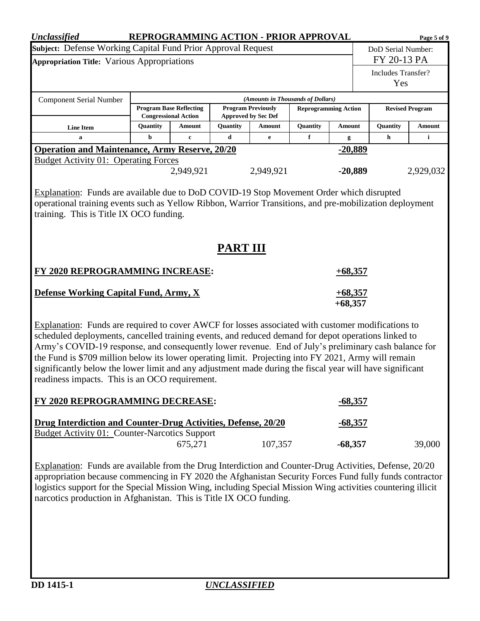| <b>Unclassified</b>                                                                                          |             |                                                                                                                   |                             |           | REPROGRAMMING ACTION - PRIOR APPROVAL |                |                    | Page 5 of 9  |  |
|--------------------------------------------------------------------------------------------------------------|-------------|-------------------------------------------------------------------------------------------------------------------|-----------------------------|-----------|---------------------------------------|----------------|--------------------|--------------|--|
| Subject: Defense Working Capital Fund Prior Approval Request                                                 |             |                                                                                                                   |                             |           |                                       |                | DoD Serial Number: |              |  |
| <b>Appropriation Title: Various Appropriations</b>                                                           |             |                                                                                                                   |                             |           |                                       |                | FY 20-13 PA        |              |  |
|                                                                                                              |             |                                                                                                                   |                             |           |                                       |                | Includes Transfer? |              |  |
|                                                                                                              |             |                                                                                                                   |                             |           |                                       |                | Yes                |              |  |
| <b>Component Serial Number</b>                                                                               |             |                                                                                                                   |                             |           | (Amounts in Thousands of Dollars)     |                |                    |              |  |
|                                                                                                              |             | <b>Program Base Reflecting</b>                                                                                    | <b>Reprogramming Action</b> |           | <b>Revised Program</b>                |                |                    |              |  |
|                                                                                                              |             | <b>Congressional Action</b><br><b>Approved by Sec Def</b><br>Quantity<br>Quantity<br>Quantity<br>Amount<br>Amount |                             |           |                                       | <b>Amount</b>  | Quantity           | Amount       |  |
| <b>Line Item</b><br>a                                                                                        | $\mathbf b$ | $\mathbf c$                                                                                                       | d                           | e         | f                                     | g              | h                  | $\mathbf{i}$ |  |
| <b>Operation and Maintenance, Army Reserve, 20/20</b>                                                        |             |                                                                                                                   |                             |           |                                       | $-20,889$      |                    |              |  |
| <b>Budget Activity 01: Operating Forces</b>                                                                  |             |                                                                                                                   |                             |           |                                       |                |                    |              |  |
|                                                                                                              |             | 2,949,921                                                                                                         |                             | 2,949,921 |                                       | $-20,889$      |                    | 2,929,032    |  |
|                                                                                                              |             |                                                                                                                   |                             |           |                                       |                |                    |              |  |
| Explanation: Funds are available due to DoD COVID-19 Stop Movement Order which disrupted                     |             |                                                                                                                   |                             |           |                                       |                |                    |              |  |
| operational training events such as Yellow Ribbon, Warrior Transitions, and pre-mobilization deployment      |             |                                                                                                                   |                             |           |                                       |                |                    |              |  |
| training. This is Title IX OCO funding.                                                                      |             |                                                                                                                   |                             |           |                                       |                |                    |              |  |
|                                                                                                              |             |                                                                                                                   |                             |           |                                       |                |                    |              |  |
|                                                                                                              |             |                                                                                                                   |                             |           |                                       |                |                    |              |  |
|                                                                                                              |             |                                                                                                                   | <b>PART III</b>             |           |                                       |                |                    |              |  |
|                                                                                                              |             |                                                                                                                   |                             |           |                                       |                |                    |              |  |
| <b>FY 2020 REPROGRAMMING INCREASE:</b><br>$+68,357$                                                          |             |                                                                                                                   |                             |           |                                       |                |                    |              |  |
| <b>Defense Working Capital Fund, Army, X</b>                                                                 |             |                                                                                                                   |                             |           |                                       | $+68,357$      |                    |              |  |
|                                                                                                              |             |                                                                                                                   |                             |           |                                       | $+68,357$      |                    |              |  |
|                                                                                                              |             |                                                                                                                   |                             |           |                                       |                |                    |              |  |
| Explanation: Funds are required to cover AWCF for losses associated with customer modifications to           |             |                                                                                                                   |                             |           |                                       |                |                    |              |  |
| scheduled deployments, cancelled training events, and reduced demand for depot operations linked to          |             |                                                                                                                   |                             |           |                                       |                |                    |              |  |
| Army's COVID-19 response, and consequently lower revenue. End of July's preliminary cash balance for         |             |                                                                                                                   |                             |           |                                       |                |                    |              |  |
| the Fund is \$709 million below its lower operating limit. Projecting into FY 2021, Army will remain         |             |                                                                                                                   |                             |           |                                       |                |                    |              |  |
| significantly below the lower limit and any adjustment made during the fiscal year will have significant     |             |                                                                                                                   |                             |           |                                       |                |                    |              |  |
| readiness impacts. This is an OCO requirement.                                                               |             |                                                                                                                   |                             |           |                                       |                |                    |              |  |
|                                                                                                              |             |                                                                                                                   |                             |           |                                       |                |                    |              |  |
| FY 2020 REPROGRAMMING DECREASE:                                                                              |             |                                                                                                                   |                             |           |                                       | $-68,357$      |                    |              |  |
| Drug Interdiction and Counter-Drug Activities, Defense, 20/20                                                |             |                                                                                                                   |                             |           |                                       | <u>-68,357</u> |                    |              |  |
| <b>Budget Activity 01: Counter-Narcotics Support</b>                                                         |             |                                                                                                                   |                             |           |                                       |                |                    |              |  |
|                                                                                                              |             | 675,271                                                                                                           |                             | 107,357   |                                       | $-68,357$      |                    | 39,000       |  |
|                                                                                                              |             |                                                                                                                   |                             |           |                                       |                |                    |              |  |
| Explanation: Funds are available from the Drug Interdiction and Counter-Drug Activities, Defense, 20/20      |             |                                                                                                                   |                             |           |                                       |                |                    |              |  |
| appropriation because commencing in FY 2020 the Afghanistan Security Forces Fund fully funds contractor      |             |                                                                                                                   |                             |           |                                       |                |                    |              |  |
| logistics support for the Special Mission Wing, including Special Mission Wing activities countering illicit |             |                                                                                                                   |                             |           |                                       |                |                    |              |  |
| narcotics production in Afghanistan. This is Title IX OCO funding.                                           |             |                                                                                                                   |                             |           |                                       |                |                    |              |  |
|                                                                                                              |             |                                                                                                                   |                             |           |                                       |                |                    |              |  |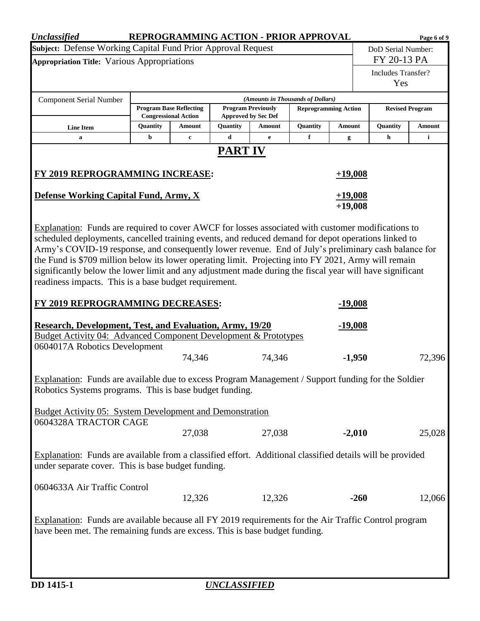| <b>Unclassified</b>                                                                                                                                                                                                                                                                                                                                                                                                                                                                                                          | REPROGRAMMING ACTION - PRIOR APPROVAL                           |                                                               |                |                                                         |                                   |                             |                           | Page 6 of 9            |
|------------------------------------------------------------------------------------------------------------------------------------------------------------------------------------------------------------------------------------------------------------------------------------------------------------------------------------------------------------------------------------------------------------------------------------------------------------------------------------------------------------------------------|-----------------------------------------------------------------|---------------------------------------------------------------|----------------|---------------------------------------------------------|-----------------------------------|-----------------------------|---------------------------|------------------------|
| Subject: Defense Working Capital Fund Prior Approval Request                                                                                                                                                                                                                                                                                                                                                                                                                                                                 |                                                                 |                                                               |                |                                                         |                                   |                             | DoD Serial Number:        |                        |
| <b>Appropriation Title: Various Appropriations</b>                                                                                                                                                                                                                                                                                                                                                                                                                                                                           |                                                                 |                                                               |                |                                                         |                                   |                             | FY 20-13 PA               |                        |
|                                                                                                                                                                                                                                                                                                                                                                                                                                                                                                                              |                                                                 |                                                               |                |                                                         |                                   |                             | Includes Transfer?<br>Yes |                        |
| <b>Component Serial Number</b>                                                                                                                                                                                                                                                                                                                                                                                                                                                                                               |                                                                 |                                                               |                |                                                         | (Amounts in Thousands of Dollars) |                             |                           |                        |
|                                                                                                                                                                                                                                                                                                                                                                                                                                                                                                                              |                                                                 | <b>Program Base Reflecting</b><br><b>Congressional Action</b> |                | <b>Program Previously</b><br><b>Approved by Sec Def</b> |                                   | <b>Reprogramming Action</b> |                           | <b>Revised Program</b> |
| <b>Line Item</b>                                                                                                                                                                                                                                                                                                                                                                                                                                                                                                             | Quantity                                                        | Amount                                                        | Quantity       | Amount                                                  | Quantity                          | Amount                      | Quantity                  | Amount                 |
| a                                                                                                                                                                                                                                                                                                                                                                                                                                                                                                                            | b                                                               | $\mathbf c$                                                   | d              | $\mathbf e$                                             | f                                 | g                           | h                         | i                      |
|                                                                                                                                                                                                                                                                                                                                                                                                                                                                                                                              |                                                                 |                                                               | <b>PART IV</b> |                                                         |                                   |                             |                           |                        |
| <b>FY 2019 REPROGRAMMING INCREASE:</b>                                                                                                                                                                                                                                                                                                                                                                                                                                                                                       |                                                                 |                                                               |                |                                                         |                                   | $+19,008$                   |                           |                        |
|                                                                                                                                                                                                                                                                                                                                                                                                                                                                                                                              | Defense Working Capital Fund, Army, X<br>$+19,008$<br>$+19,008$ |                                                               |                |                                                         |                                   |                             |                           |                        |
| scheduled deployments, cancelled training events, and reduced demand for depot operations linked to<br>Army's COVID-19 response, and consequently lower revenue. End of July's preliminary cash balance for<br>the Fund is \$709 million below its lower operating limit. Projecting into FY 2021, Army will remain<br>significantly below the lower limit and any adjustment made during the fiscal year will have significant<br>readiness impacts. This is a base budget requirement.<br>FY 2019 REPROGRAMMING DECREASES: |                                                                 |                                                               |                |                                                         |                                   | <u>-19,008</u>              |                           |                        |
| <b>Research, Development, Test, and Evaluation, Army, 19/20</b>                                                                                                                                                                                                                                                                                                                                                                                                                                                              |                                                                 |                                                               |                |                                                         |                                   | <u>-19,008</u>              |                           |                        |
| <b>Budget Activity 04: Advanced Component Development &amp; Prototypes</b>                                                                                                                                                                                                                                                                                                                                                                                                                                                   |                                                                 |                                                               |                |                                                         |                                   |                             |                           |                        |
| 0604017A Robotics Development                                                                                                                                                                                                                                                                                                                                                                                                                                                                                                |                                                                 |                                                               |                |                                                         |                                   |                             |                           |                        |
|                                                                                                                                                                                                                                                                                                                                                                                                                                                                                                                              |                                                                 | 74,346                                                        |                | 74,346                                                  |                                   | $-1,950$                    |                           | 72,396                 |
| Explanation: Funds are available due to excess Program Management / Support funding for the Soldier<br>Robotics Systems programs. This is base budget funding.                                                                                                                                                                                                                                                                                                                                                               |                                                                 |                                                               |                |                                                         |                                   |                             |                           |                        |
| <b>Budget Activity 05: System Development and Demonstration</b><br>0604328A TRACTOR CAGE                                                                                                                                                                                                                                                                                                                                                                                                                                     |                                                                 |                                                               |                |                                                         |                                   |                             |                           |                        |
|                                                                                                                                                                                                                                                                                                                                                                                                                                                                                                                              |                                                                 | 27,038                                                        |                | 27,038                                                  |                                   | $-2,010$                    |                           | 25,028                 |
| Explanation: Funds are available from a classified effort. Additional classified details will be provided<br>under separate cover. This is base budget funding.                                                                                                                                                                                                                                                                                                                                                              |                                                                 |                                                               |                |                                                         |                                   |                             |                           |                        |
| 0604633A Air Traffic Control                                                                                                                                                                                                                                                                                                                                                                                                                                                                                                 |                                                                 | 12,326                                                        |                | 12,326                                                  |                                   | $-260$                      |                           | 12,066                 |
| Explanation: Funds are available because all FY 2019 requirements for the Air Traffic Control program<br>have been met. The remaining funds are excess. This is base budget funding.                                                                                                                                                                                                                                                                                                                                         |                                                                 |                                                               |                |                                                         |                                   |                             |                           |                        |
|                                                                                                                                                                                                                                                                                                                                                                                                                                                                                                                              |                                                                 |                                                               |                |                                                         |                                   |                             |                           |                        |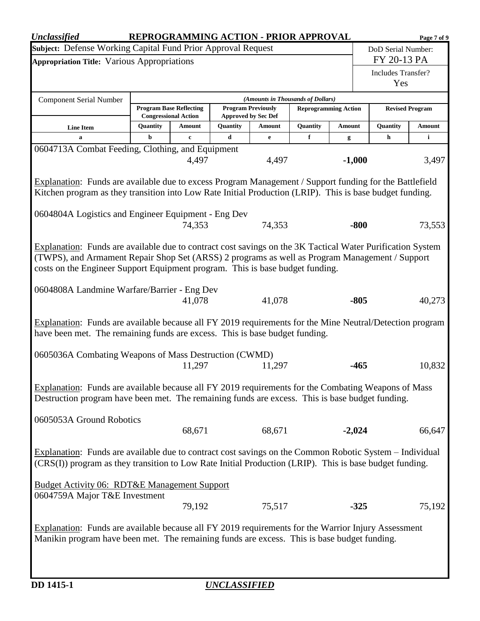| <b>Unclassified</b>                                                                                                                                                                                                 |                                                                                    |                                                               |          |                                                         | REPROGRAMMING ACTION - PRIOR APPROVAL |               |          |                                  | Page 7 of 9   |  |
|---------------------------------------------------------------------------------------------------------------------------------------------------------------------------------------------------------------------|------------------------------------------------------------------------------------|---------------------------------------------------------------|----------|---------------------------------------------------------|---------------------------------------|---------------|----------|----------------------------------|---------------|--|
|                                                                                                                                                                                                                     | Subject: Defense Working Capital Fund Prior Approval Request<br>DoD Serial Number: |                                                               |          |                                                         |                                       |               |          |                                  |               |  |
| <b>Appropriation Title: Various Appropriations</b>                                                                                                                                                                  |                                                                                    |                                                               |          |                                                         |                                       |               |          | FY 20-13 PA                      |               |  |
|                                                                                                                                                                                                                     |                                                                                    |                                                               |          |                                                         |                                       |               |          | <b>Includes Transfer?</b><br>Yes |               |  |
|                                                                                                                                                                                                                     |                                                                                    |                                                               |          |                                                         |                                       |               |          |                                  |               |  |
| <b>Component Serial Number</b>                                                                                                                                                                                      |                                                                                    |                                                               |          |                                                         | (Amounts in Thousands of Dollars)     |               |          |                                  |               |  |
|                                                                                                                                                                                                                     |                                                                                    | <b>Program Base Reflecting</b><br><b>Congressional Action</b> |          | <b>Program Previously</b><br><b>Approved by Sec Def</b> | <b>Reprogramming Action</b>           |               |          | <b>Revised Program</b>           |               |  |
| <b>Line Item</b>                                                                                                                                                                                                    | Quantity                                                                           | Amount                                                        | Quantity | Amount                                                  | Quantity                              | <b>Amount</b> |          | Quantity                         | <b>Amount</b> |  |
| a                                                                                                                                                                                                                   | b                                                                                  | $\mathbf c$                                                   | d        | $\mathbf{e}$                                            | f                                     | g             |          | h                                | $\mathbf{i}$  |  |
| 0604713A Combat Feeding, Clothing, and Equipment                                                                                                                                                                    |                                                                                    |                                                               |          |                                                         |                                       |               |          |                                  |               |  |
|                                                                                                                                                                                                                     |                                                                                    | 4,497                                                         |          | 4,497                                                   |                                       |               | $-1,000$ |                                  | 3,497         |  |
|                                                                                                                                                                                                                     |                                                                                    |                                                               |          |                                                         |                                       |               |          |                                  |               |  |
| Explanation: Funds are available due to excess Program Management / Support funding for the Battlefield<br>Kitchen program as they transition into Low Rate Initial Production (LRIP). This is base budget funding. |                                                                                    |                                                               |          |                                                         |                                       |               |          |                                  |               |  |
|                                                                                                                                                                                                                     |                                                                                    |                                                               |          |                                                         |                                       |               |          |                                  |               |  |
| 0604804A Logistics and Engineer Equipment - Eng Dev                                                                                                                                                                 |                                                                                    |                                                               |          |                                                         |                                       |               |          |                                  |               |  |
|                                                                                                                                                                                                                     |                                                                                    | 74,353                                                        |          | 74,353                                                  |                                       |               | $-800$   |                                  | 73,553        |  |
|                                                                                                                                                                                                                     |                                                                                    |                                                               |          |                                                         |                                       |               |          |                                  |               |  |
| Explanation: Funds are available due to contract cost savings on the 3K Tactical Water Purification System                                                                                                          |                                                                                    |                                                               |          |                                                         |                                       |               |          |                                  |               |  |
| (TWPS), and Armament Repair Shop Set (ARSS) 2 programs as well as Program Management / Support                                                                                                                      |                                                                                    |                                                               |          |                                                         |                                       |               |          |                                  |               |  |
| costs on the Engineer Support Equipment program. This is base budget funding.                                                                                                                                       |                                                                                    |                                                               |          |                                                         |                                       |               |          |                                  |               |  |
|                                                                                                                                                                                                                     |                                                                                    |                                                               |          |                                                         |                                       |               |          |                                  |               |  |
| 0604808A Landmine Warfare/Barrier - Eng Dev                                                                                                                                                                         |                                                                                    |                                                               |          |                                                         |                                       |               |          |                                  |               |  |
| 41,078<br>$-805$<br>41,078                                                                                                                                                                                          |                                                                                    |                                                               |          |                                                         |                                       | 40,273        |          |                                  |               |  |
| Explanation: Funds are available because all FY 2019 requirements for the Mine Neutral/Detection program                                                                                                            |                                                                                    |                                                               |          |                                                         |                                       |               |          |                                  |               |  |
| have been met. The remaining funds are excess. This is base budget funding.                                                                                                                                         |                                                                                    |                                                               |          |                                                         |                                       |               |          |                                  |               |  |
|                                                                                                                                                                                                                     |                                                                                    |                                                               |          |                                                         |                                       |               |          |                                  |               |  |
| 0605036A Combating Weapons of Mass Destruction (CWMD)                                                                                                                                                               |                                                                                    |                                                               |          |                                                         |                                       |               |          |                                  |               |  |
|                                                                                                                                                                                                                     |                                                                                    | 11,297                                                        |          | 11,297                                                  |                                       |               | -465     |                                  | 10,832        |  |
|                                                                                                                                                                                                                     |                                                                                    |                                                               |          |                                                         |                                       |               |          |                                  |               |  |
| Explanation: Funds are available because all FY 2019 requirements for the Combating Weapons of Mass                                                                                                                 |                                                                                    |                                                               |          |                                                         |                                       |               |          |                                  |               |  |
| Destruction program have been met. The remaining funds are excess. This is base budget funding.                                                                                                                     |                                                                                    |                                                               |          |                                                         |                                       |               |          |                                  |               |  |
| 0605053A Ground Robotics                                                                                                                                                                                            |                                                                                    |                                                               |          |                                                         |                                       |               |          |                                  |               |  |
|                                                                                                                                                                                                                     |                                                                                    | 68,671                                                        |          | 68,671                                                  |                                       |               | $-2,024$ |                                  | 66,647        |  |
|                                                                                                                                                                                                                     |                                                                                    |                                                               |          |                                                         |                                       |               |          |                                  |               |  |
| Explanation: Funds are available due to contract cost savings on the Common Robotic System – Individual                                                                                                             |                                                                                    |                                                               |          |                                                         |                                       |               |          |                                  |               |  |
| (CRS(I)) program as they transition to Low Rate Initial Production (LRIP). This is base budget funding.                                                                                                             |                                                                                    |                                                               |          |                                                         |                                       |               |          |                                  |               |  |
|                                                                                                                                                                                                                     |                                                                                    |                                                               |          |                                                         |                                       |               |          |                                  |               |  |
| <b>Budget Activity 06: RDT&amp;E Management Support</b>                                                                                                                                                             |                                                                                    |                                                               |          |                                                         |                                       |               |          |                                  |               |  |
| 0604759A Major T&E Investment                                                                                                                                                                                       |                                                                                    |                                                               |          |                                                         |                                       |               |          |                                  |               |  |
|                                                                                                                                                                                                                     |                                                                                    | 79,192                                                        |          | 75,517                                                  |                                       |               | $-325$   |                                  | 75,192        |  |
| Explanation: Funds are available because all FY 2019 requirements for the Warrior Injury Assessment                                                                                                                 |                                                                                    |                                                               |          |                                                         |                                       |               |          |                                  |               |  |
|                                                                                                                                                                                                                     |                                                                                    |                                                               |          |                                                         |                                       |               |          |                                  |               |  |
| Manikin program have been met. The remaining funds are excess. This is base budget funding.                                                                                                                         |                                                                                    |                                                               |          |                                                         |                                       |               |          |                                  |               |  |
|                                                                                                                                                                                                                     |                                                                                    |                                                               |          |                                                         |                                       |               |          |                                  |               |  |
|                                                                                                                                                                                                                     |                                                                                    |                                                               |          |                                                         |                                       |               |          |                                  |               |  |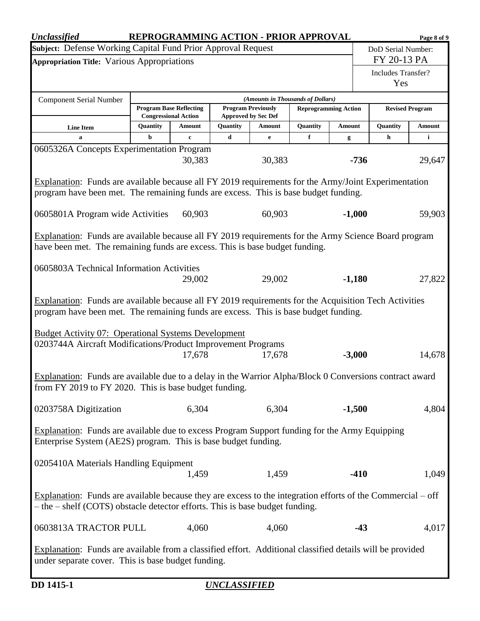| <b>Unclassified</b>                                                                                                                                              |               |                                                           |                     |                           | REPROGRAMMING ACTION - PRIOR APPROVAL                            |             |                           | Page 8 of 9 |  |
|------------------------------------------------------------------------------------------------------------------------------------------------------------------|---------------|-----------------------------------------------------------|---------------------|---------------------------|------------------------------------------------------------------|-------------|---------------------------|-------------|--|
| Subject: Defense Working Capital Fund Prior Approval Request                                                                                                     |               |                                                           |                     |                           |                                                                  |             | DoD Serial Number:        |             |  |
| <b>Appropriation Title: Various Appropriations</b>                                                                                                               |               |                                                           |                     |                           |                                                                  |             | FY 20-13 PA               |             |  |
|                                                                                                                                                                  |               |                                                           |                     |                           |                                                                  |             | Includes Transfer?<br>Yes |             |  |
|                                                                                                                                                                  |               |                                                           |                     |                           |                                                                  |             |                           |             |  |
| <b>Component Serial Number</b>                                                                                                                                   |               | <b>Program Base Reflecting</b>                            |                     | <b>Program Previously</b> | (Amounts in Thousands of Dollars)<br><b>Reprogramming Action</b> |             | <b>Revised Program</b>    |             |  |
|                                                                                                                                                                  |               | <b>Congressional Action</b><br><b>Approved by Sec Def</b> |                     |                           |                                                                  |             |                           |             |  |
| <b>Line Item</b><br>a                                                                                                                                            | Quantity<br>b | Amount<br>$\mathbf c$                                     | Quantity<br>d       | Amount<br>e               | Quantity<br>f                                                    | Amount<br>g | Quantity<br>h             | Amount<br>i |  |
| 0605326A Concepts Experimentation Program                                                                                                                        |               |                                                           |                     |                           |                                                                  |             |                           |             |  |
|                                                                                                                                                                  |               | 30,383                                                    |                     | 30,383                    |                                                                  | $-736$      |                           | 29,647      |  |
| Explanation: Funds are available because all FY 2019 requirements for the Army/Joint Experimentation                                                             |               |                                                           |                     |                           |                                                                  |             |                           |             |  |
| program have been met. The remaining funds are excess. This is base budget funding.                                                                              |               |                                                           |                     |                           |                                                                  |             |                           |             |  |
|                                                                                                                                                                  |               |                                                           |                     |                           |                                                                  |             |                           |             |  |
| 0605801A Program wide Activities                                                                                                                                 |               | 60,903                                                    |                     | 60,903                    |                                                                  | $-1,000$    |                           | 59,903      |  |
| Explanation: Funds are available because all FY 2019 requirements for the Army Science Board program                                                             |               |                                                           |                     |                           |                                                                  |             |                           |             |  |
| have been met. The remaining funds are excess. This is base budget funding.                                                                                      |               |                                                           |                     |                           |                                                                  |             |                           |             |  |
|                                                                                                                                                                  |               |                                                           |                     |                           |                                                                  |             |                           |             |  |
| 0605803A Technical Information Activities                                                                                                                        |               | 29,002                                                    |                     | 29,002                    |                                                                  | $-1,180$    |                           | 27,822      |  |
|                                                                                                                                                                  |               |                                                           |                     |                           |                                                                  |             |                           |             |  |
| Explanation: Funds are available because all FY 2019 requirements for the Acquisition Tech Activities                                                            |               |                                                           |                     |                           |                                                                  |             |                           |             |  |
| program have been met. The remaining funds are excess. This is base budget funding.                                                                              |               |                                                           |                     |                           |                                                                  |             |                           |             |  |
| <b>Budget Activity 07: Operational Systems Development</b>                                                                                                       |               |                                                           |                     |                           |                                                                  |             |                           |             |  |
| 0203744A Aircraft Modifications/Product Improvement Programs                                                                                                     |               |                                                           |                     |                           |                                                                  |             |                           |             |  |
|                                                                                                                                                                  |               | 17,678                                                    |                     | 17,678                    |                                                                  | $-3,000$    |                           | 14,678      |  |
|                                                                                                                                                                  |               |                                                           |                     |                           |                                                                  |             |                           |             |  |
| Explanation: Funds are available due to a delay in the Warrior Alpha/Block 0 Conversions contract award<br>from FY 2019 to FY 2020. This is base budget funding. |               |                                                           |                     |                           |                                                                  |             |                           |             |  |
|                                                                                                                                                                  |               |                                                           |                     |                           |                                                                  |             |                           |             |  |
| 0203758A Digitization                                                                                                                                            |               | 6,304                                                     |                     | 6,304                     |                                                                  | $-1,500$    |                           | 4,804       |  |
|                                                                                                                                                                  |               |                                                           |                     |                           |                                                                  |             |                           |             |  |
| Explanation: Funds are available due to excess Program Support funding for the Army Equipping<br>Enterprise System (AE2S) program. This is base budget funding.  |               |                                                           |                     |                           |                                                                  |             |                           |             |  |
|                                                                                                                                                                  |               |                                                           |                     |                           |                                                                  |             |                           |             |  |
| 0205410A Materials Handling Equipment                                                                                                                            |               |                                                           |                     |                           |                                                                  |             |                           |             |  |
|                                                                                                                                                                  |               | 1,459                                                     |                     | 1,459                     |                                                                  | $-410$      |                           | 1,049       |  |
| Explanation: Funds are available because they are excess to the integration efforts of the Commercial $-$ off                                                    |               |                                                           |                     |                           |                                                                  |             |                           |             |  |
| $-$ the $-$ shelf (COTS) obstacle detector efforts. This is base budget funding.                                                                                 |               |                                                           |                     |                           |                                                                  |             |                           |             |  |
|                                                                                                                                                                  |               |                                                           |                     |                           |                                                                  |             |                           |             |  |
| 0603813A TRACTOR PULL                                                                                                                                            |               | 4,060                                                     |                     | 4,060                     |                                                                  |             | $-43$                     | 4,017       |  |
| Explanation: Funds are available from a classified effort. Additional classified details will be provided                                                        |               |                                                           |                     |                           |                                                                  |             |                           |             |  |
| under separate cover. This is base budget funding.                                                                                                               |               |                                                           |                     |                           |                                                                  |             |                           |             |  |
|                                                                                                                                                                  |               |                                                           |                     |                           |                                                                  |             |                           |             |  |
| DD 1415-1                                                                                                                                                        |               |                                                           | <u>UNCLASSIFIED</u> |                           |                                                                  |             |                           |             |  |